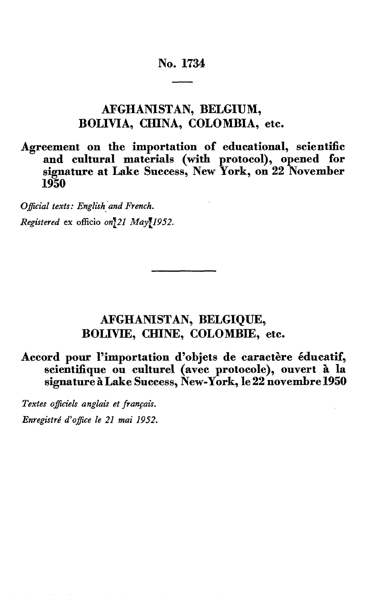## **No. 1734**

# **AFGHANISTAN, BELGIUM, BOLIVIA, CHINA, COLOMBIA, etc.**

**Agreement on the importation of educational, scientific and cultural materials (with protocol), opened for signature at Lake Success, New York, on 22 November 1950** 

*Official texts: English and French. Registered* ex officio *onj^21 May^l952.* 

# **AFGHANISTAN, BELGIQUE, BOLIVIE, CHINE, COLOMBIE, etc.**

**Accord pour l'importation d'objets de caractère éducatif, scientifique ou culturel (avec protocole), ouvert à la signature à Lake Success, New-York, le 22 novembre 1950** 

*Textes officiels anglais et français. Enregistré d'office le 21 mai 1952.*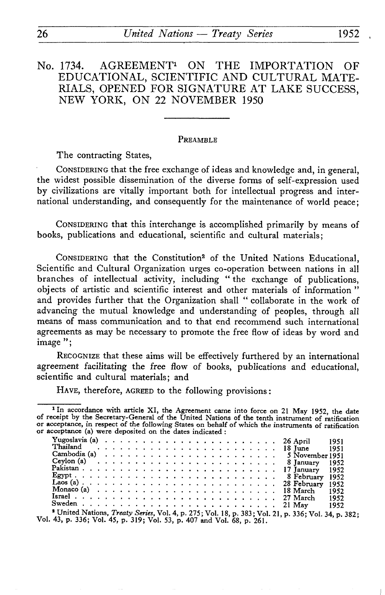## No. 1734. AGREEMENT<sup>1</sup> ON THE IMPORTATION OF EDUCATIONAL, SCIENTIFIC AND CULTURAL MATE RIALS, OPENED FOR SIGNATURE AT LAKE SUCCESS, NEW YORK, ON 22 NOVEMBER 1950

#### PREAMBLE

The contracting States,

CONSIDERING that the free exchange of ideas and knowledge and, in general, the widest possible dissemination of the diverse forms of self-expression used by civilizations are vitally important both for intellectual progress and inter national understanding, and consequently for the maintenance of world peace;

CONSIDERING that this interchange is accomplished primarily by means of books, publications and educational, scientific and cultural materials;

CONSIDERING that the Constitution<sup>2</sup> of the United Nations Educational, Scientific and Cultural Organization urges co-operation between nations in all branches of intellectual activity, including " the exchange of publications, objects of artistic and scientific interest and other materials of information " and provides further that the Organization shall " collaborate in the work of advancing the mutual knowledge and understanding of peoples, through all means of mass communication and to that end recommend such international agreements as may be necessary to promote the free flow of ideas by word and image";

RECOGNIZE that these aims will be effectively furthered by an international agreement facilitating the free flow of books, publications and educational, scientific and cultural materials; and

HAVE, therefore, AGREED to the following provisions :

<sup>&#</sup>x27;In accordance with article XI, the Agreement came into force on 21 May 1952, the date of receipt by the Secretary-General of the United Nations of the tenth instrument of ratification<br>or acceptance, in respect of the following States on behalf of which the instruments of ratification<br>or acceptance (a) were or acceptance (a) were deposited on the dates indicated :

| Yugoslavia (a) $\cdots$ $\cdots$ $\cdots$ $\cdots$ $\cdots$ $\cdots$ $\cdots$ $\cdots$ $\cdots$ $\cdots$ 26 April |  |  |  |  |  |  |  |  |  |  |  |  | - 1951 |
|-------------------------------------------------------------------------------------------------------------------|--|--|--|--|--|--|--|--|--|--|--|--|--------|
|                                                                                                                   |  |  |  |  |  |  |  |  |  |  |  |  | 1951   |
|                                                                                                                   |  |  |  |  |  |  |  |  |  |  |  |  |        |
| Ceylon (a) $\ldots$ $\ldots$ $\ldots$ $\ldots$ $\ldots$ $\ldots$ $\ldots$ $\ldots$ $\ldots$ 8 January 1952        |  |  |  |  |  |  |  |  |  |  |  |  |        |
|                                                                                                                   |  |  |  |  |  |  |  |  |  |  |  |  |        |
|                                                                                                                   |  |  |  |  |  |  |  |  |  |  |  |  |        |
| Laos (a) $\ldots$ $\ldots$ $\ldots$ $\ldots$ $\ldots$ $\ldots$ $\ldots$ $\ldots$ $\ldots$ 28 February             |  |  |  |  |  |  |  |  |  |  |  |  | 1952   |
|                                                                                                                   |  |  |  |  |  |  |  |  |  |  |  |  | 1952   |
|                                                                                                                   |  |  |  |  |  |  |  |  |  |  |  |  | 1952   |
|                                                                                                                   |  |  |  |  |  |  |  |  |  |  |  |  | 1952   |
| <sup>3</sup> United Nations, Treaty Series, Vol. 4, p. 275; Vol. 18, p. 383; Vol. 21, p. 336; Vol. 34, p. 382;    |  |  |  |  |  |  |  |  |  |  |  |  |        |
| Vol. 43, p. 336; Vol. 45, p. 319; Vol. 53, p. 407 and Vol. 68, p. 261.                                            |  |  |  |  |  |  |  |  |  |  |  |  |        |
|                                                                                                                   |  |  |  |  |  |  |  |  |  |  |  |  |        |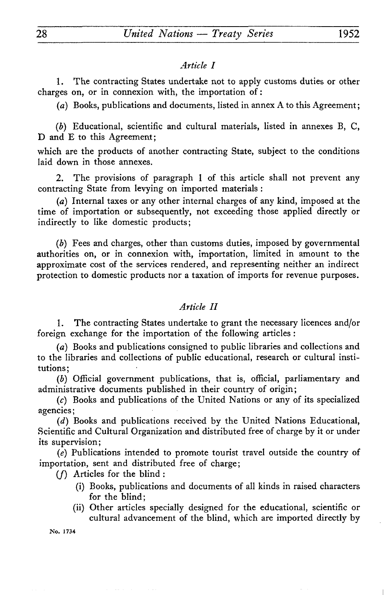### *Article I*

1. The contracting States undertake not to apply customs duties or other charges on, or in connexion with, the importation of :

*(a)* Books, publications and documents, listed in annex A to this Agreement ;

*(b)* Educational, scientific and cultural materials, listed in annexes B, C, D and E to this Agreement;

which are the products of another contracting State, subject to the conditions laid down in those annexes.

2. The provisions of paragraph 1 of this article shall not prevent any contracting State from levying on imported materials :

*(a)* Internal taxes or any other internal charges of any kind, imposed at the time of importation or subsequently, not exceeding those applied directly or indirectly to like domestic products;

*(b)* Fees and charges, other than customs duties, imposed by governmental authorities on, or in connexion with, importation, limited in amount to the approximate cost of the services rendered, and representing neither an indirect protection to domestic products nor a taxation of imports for revenue purposes.

### *Article II*

1. The contracting States undertake to grant the necessary licences and/or foreign exchange for the importation of the following articles :

(a) Books and publications consigned to public libraries and collections and to the libraries and collections of public educational, research or cultural insti tutions ;

*(b)* Official government publications, that is, official, parliamentary and administrative documents published in their country of origin;

*(c)* Books and publications of the United Nations or any of its specialized agencies ;

*(d)* Books and publications received by the United Nations Educational, Scientific and Cultural Organization and distributed free of charge by it or under its supervision;

*(e)* Publications intended to promote tourist travel outside the country of importation, sent and distributed free of charge;

 $(f)$  Articles for the blind :

- (i) Books, publications and documents of all kinds in raised characters for the blind;
- (ii) Other articles specially designed for the educational, scientific or cultural advancement of the blind, which are imported directly by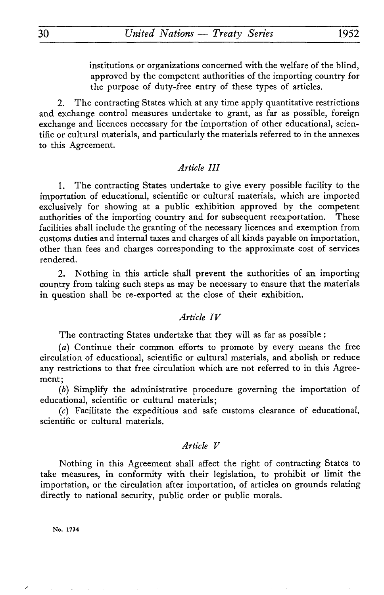institutions or organizations concerned with the welfare of the blind, approved by the competent authorities of the importing country for the purpose of duty-free entry of these types of articles.

2. The contracting States which at any time apply quantitative restrictions and exchange control measures undertake to grant, as far as possible, foreign exchange and licences necessary for the importation of other educational, scien tific or cultural materials, and particularly the materials referred to in the annexes to this Agreement.

#### *Article III*

1. The contracting States undertake to give every possible facility to the importation of educational, scientific or cultural materials, which are imported exclusively for showing at a public exhibition approved by the competent authorities of the importing country and for subsequent reexportation. These facilities shall include the granting of the necessary licences and exemption from customs duties and internal taxes and charges of all kinds payable on importation, other than fees and charges corresponding to the approximate cost of services rendered.

2. Nothing in this article shall prevent the authorities of an importing country from taking such steps as may be necessary to ensure that the materials in question shall be re-exported at the close of their exhibition.

#### *Article IV*

The contracting States undertake that they will as far as possible :

*(a)* Continue their common efforts to promote by every means the free circulation of educational, scientific or cultural materials, and abolish or reduce any restrictions to that free circulation which are not referred to in this Agree ment;

*(b)* Simplify the administrative procedure governing the importation of educational, scientific or cultural materials;

*(c)* Facilitate the expeditious and safe customs clearance of educational, scientific or cultural materials.

#### *Article V*

Nothing in this Agreement shall affect the right of contracting States to take measures, in conformity with their legislation, to prohibit or limit the importation, or the circulation after importation, of articles on grounds relating directly to national security, public order or public morals.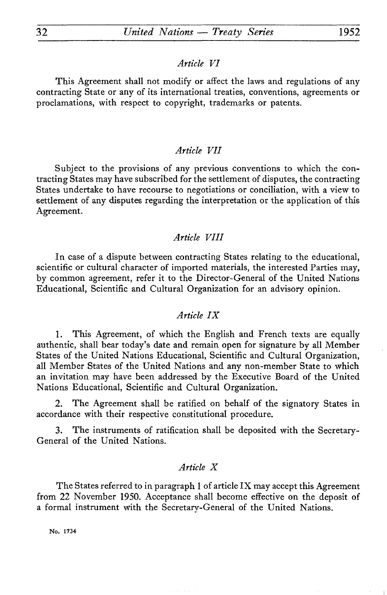#### *Article VI*

This Agreement shall not modify or affect the laws and regulations of any contracting State or any of its international treaties, conventions, agreements or proclamations, with respect to copyright, trademarks or patents.

#### *Article VII*

Subject to the provisions of any previous conventions to which the con tracting States may have subscribed for the settlement of disputes, the contracting States undertake to have recourse to negotiations or conciliation, with a view to settlement of any disputes regarding the interpretation or the application of this Agreement.

#### *Article VIII*

In case of a dispute between contracting States relating to the educational, scientific or cultural character of imported materials, the interested Parties may, by common agreement, refer it to the Director-General of the United Nations Educational, Scientific and Cultural Organization for an advisory opinion.

### *Article IX*

1. This Agreement, of which the English and French texts are equally authentic, shall bear today's date and remain open for signature by all Member States of the United Nations Educational, Scientific and Cultural Organization, all Member States of the United Nations and any non-member State to which an invitation may have been addressed by the Executive Board of the United Nations Educational, Scientific and Cultural Organization.

2. The Agreement shall be ratified on behalf of the signatory States in accordance with their respective constitutional procedure.

3. The instruments of ratification shall be deposited with the Secretary-General of the United Nations.

### *Article X*

The States referred to in paragraph 1 of article IX may accept this Agreement from 22 November 1950. Acceptance shall become effective on the deposit of a formal instrument with the Secretary-General of the United Nations.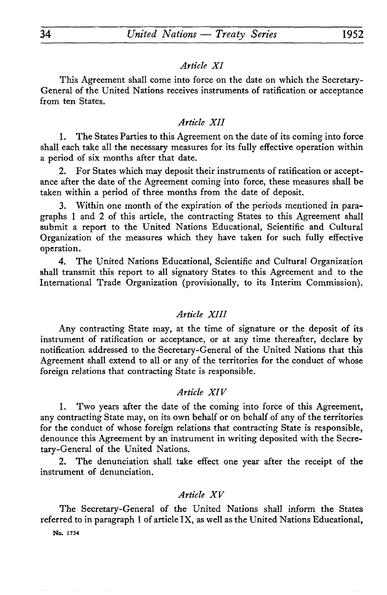#### *Article XI*

This Agreement shall come into force on the date on which the Secretary-General of the United Nations receives instruments of ratification or acceptance from ten States.

#### *Article XII*

1. The States Parties to this Agreement on the date of its coming into force shall each take all the necessary measures for its fully effective operation within a period of six months after that date.

2. For States which may deposit their instruments of ratification or accept ance after the date of the Agreement coming into force, these measures shall be taken within a period of three months from the date of deposit.

3. Within one month of the expiration of the periods mentioned in para graphs 1 and 2 of this article, the contracting States to this Agreement shall submit a report to the United Nations Educational, Scientific and Cultural Organization of the measures which they have taken for such fully effective operation.

4. The United Nations Educational, Scientific and Cultural Organization shall transmit this report to all signatory States to this Agreement and to the International Trade Organization (provisionally, to its Interim Commission).

#### *Article XIII*

Any contracting State may, at the time of signature or the deposit of its instrument of ratification or acceptance, or at any time thereafter, declare by notification addressed to the Secretary-General of the United Nations that this Agreement shall extend to all or any of the territories for the conduct of whose foreign relations that contracting State is responsible.

## *Article XIV*

1. Two years after the date of the coming into force of this Agreement, any contracting State may, on its own behalf or on behalf of any of the territories for the conduct of whose foreign relations that contracting State is responsible, denounce this Agreement by an instrument in writing deposited with the Secre tary-General of the United Nations.

2. The denunciation shall take effect one year after the receipt of the instrument of denunciation.

#### *Article XV*

The Secretary-General of the United Nations shall inform the States referred to in paragraph 1 of article IX, as well as the United Nations Educational,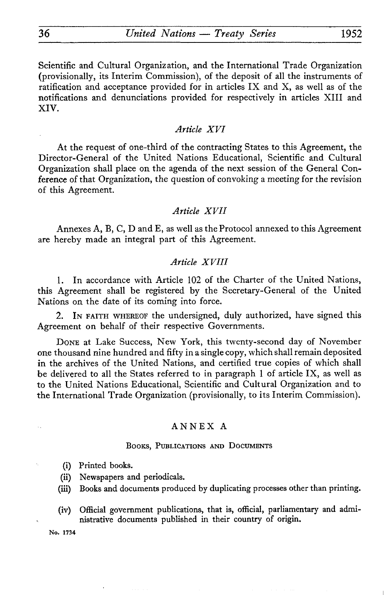Scientific and Cultural Organization, and the International Trade Organization (provisionally, its Interim Commission), of the deposit of all the instruments of ratification and acceptance provided for in articles IX and X, as well as of the notifications and denunciations provided for respectively in articles XIII and XIV.

#### *Article XVI*

At the request of one-third of the contracting States to this Agreement, the Director-General of the United Nations Educational, Scientific and Cultural Organization shall place on the agenda of the next session of the General Con ference of that Organization, the question of convoking a meeting for the revision of this Agreement.

#### *Article XVII*

Annexes A, B, C, D and E, as well as the Protocol annexed to this Agreement are hereby made an integral part of this Agreement.

### *Article XVIII*

1. In accordance with Article 102 of the Charter of the United Nations, this Agreement shall be registered by the Secretary-General of the United Nations on the date of its coming into force.

2. IN FAITH WHEREOF the undersigned, duly authorized, have signed this Agreement on behalf of their respective Governments.

DONE at Lake Success, New York, this twenty-second day of November one thousand nine hundred and fifty in a single copy, which shall remain deposited in the archives of the United Nations, and certified true copies of which shall be delivered to all the States referred to in paragraph 1 of article IX, as well as to the United Nations Educational, Scientific and Cultural Organization and to the International Trade Organization (provisionally, to its Interim Commission).

#### ANNEX A

#### BOOKS, PUBLICATIONS AND DOCUMENTS

- (i) Printed books,
- (ii) Newspapers and periodicals.
- (iii) Books and documents produced by duplicating processes other than printing.
- (iv) Official government publications, that is, official, parliamentary and admi nistrative documents published in their country of origin.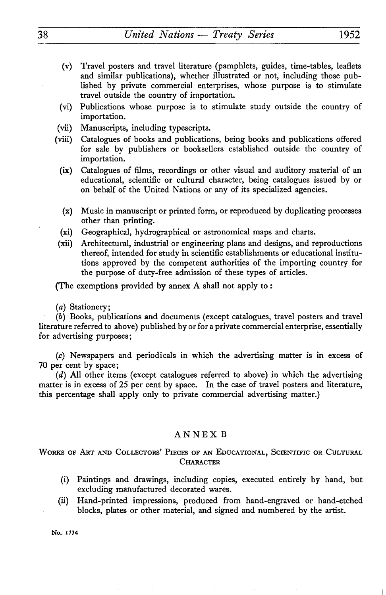- (v) Travel posters and travel literature (pamphlets, guides, time-tables, leaflets and similar publications), whether illustrated or not, including those pub lished by private commercial enterprises, whose purpose is to stimulate travel outside the country of importation.
- (vi) Publications whose purpose is to stimulate study outside the country of importation.
- (vii) Manuscripts, including typescripts.
- (viii) Catalogues of books and publications, being books and publications offered for sale by publishers or booksellers established outside the country of importation.
	- (ix) Catalogues of films, recordings or other visual and auditory material of an educational, scientific or cultural character, being catalogues issued by or on behalf of the United Nations or any of its specialized agencies.
	- (x) Music in manuscript or printed form, or reproduced by duplicating processes other than printing.
	- (xi) Geographical, hydrographical or astronomical maps and charts.
- (xii) Architectural, industrial or engineering plans and designs, and reproductions thereof, intended for study in scientific establishments or educational institu tions approved by the competent authorities of the importing country for the purpose of duty-free admission of these types of articles.

(The exemptions provided by annex A shall not apply to :

(a) Stationery;

(6) Books, publications and documents (except catalogues, travel posters and travel literature referred to above) published by or for a private commercial enterprise, essentially for advertising purposes;

*(c)* Newspapers and periodicals in which the advertising matter is in excess of 70 per cent by space;

*(d)* All other items (except catalogues referred to above) in which the advertising matter is in excess of 25 per cent by space. In the case of travel posters and literature, this percentage shall apply only to private commercial advertising matter.)

### ANNEX B

WORKS OF ART AND COLLECTORS' PIECES OF AN EDUCATIONAL, SCIENTIFIC OR CULTURAL **CHARACTER** 

- (i) Paintings and drawings, including copies, executed entirely by hand, but excluding manufactured decorated wares.
- (ii) Hand-printed impressions, produced from hand-engraved or hand-etched blocks, plates or other material, and signed and numbered by the artist.

No.: 1734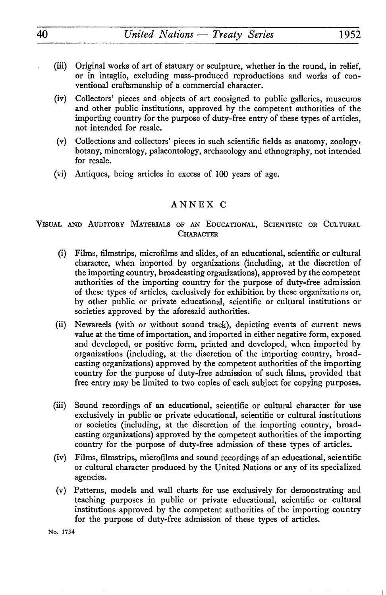- (iii) Original works of art of statuary or sculpture, whether in the round, in relief, or in intaglio, excluding mass-produced reproductions and works of con ventional craftsmanship of a commercial character.
- (iv) Collectors' pieces and objects of art consigned to public galleries, museums and other public institutions, approved by the competent authorities of the importing country for the purpose of duty-free entry of these types of articles, not intended for resale.
- (v) Collections and collectors' pieces in such scientific fields as anatomy, zoology» botany, mineralogy, palaeontology, archaeology and ethnography, not intended for resale.
- (vi) Antiques, being articles in excess of 100 years of age.

#### ANNEX C

#### VISUAL AND AUDITORY MATERIALS OF AN EDUCATIONAL, SCIENTIFIC OR CULTURAL **CHARACTER**

- (i) Films, filmstrips, microfilms and slides, of an educational, scientific or cultural character, when imported by organizations (including, at the discretion of the importing country, broadcasting organizations), approved by the competent authorities of the importing country for the purpose of duty-free admission of these types of articles, exclusively for exhibition by these organizations or, by other public or private educational, scientific or cultural institutions or societies approved by the aforesaid authorities.
- (ii) Newsreels (with or without sound track), depicting events of current news value at the time of importation, and imported in either negative form, exposed and developed, or positive form, printed and developed, when imported by organizations (including, at the discretion of the importing country, broad casting organizations) approved by the competent authorities of the importing country for the purpose of duty-free admission of such films, provided that free entry may be limited to two copies of each subject for copying purposes.
- (iii) Sound recordings of an educational, scientific or cultural character for use exclusively in public or private educational, scientific or cultural institutions or societies (including, at the discretion of the importing country, broad casting organizations) approved by the competent authorities of the importing country for the purpose of duty-free admission of these types of articles.
- (iv) Films, filmstrips, microfilms and sound recordings of an educational, scientific or cultural character produced by the United Nations or any of its specialized agencies.
- (v) Patterns, models and wall charts for use exclusively for demonstrating and teaching purposes in public or private educational, scientific or cultural institutions approved by the competent authorities of the importing country for the purpose of duty-free admission of these types of articles.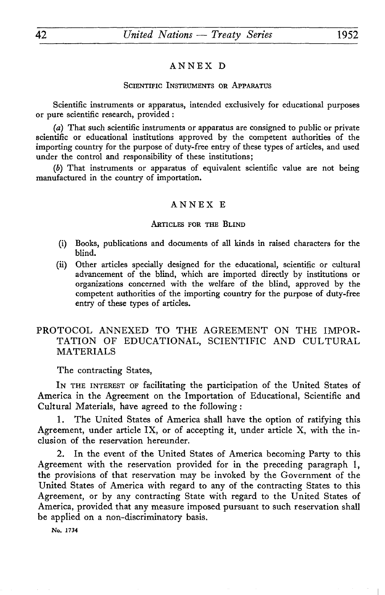#### ANNEX D

#### SCIENTIFIC INSTRUMENTS OR APPARATUS

Scientific instruments or apparatus, intended exclusively for educational purposes or pure scientific research, provided :

(a) That such scientific instruments or apparatus are consigned to public or private scientific or educational institutions approved by the competent authorities of the importing country for the purpose of duty-free entry of these types of articles, and used under the control and responsibility of these institutions;

*(b)* That instruments or apparatus of equivalent scientific value are not being manufactured in the country of importation.

#### ANNEX E

#### ARTICLES FOR THE BLIND

- (i) Books, publications and documents of all kinds in raised characters for the blind.
- (ii) Other articles specially designed for the educational, scientific or cultural advancement of the blind, which are imported directly by institutions or organizations concerned with the welfare of the blind, approved by the competent authorities of the importing country for the purpose of duty-free entry of these types of articles.

## PROTOCOL ANNEXED TO THE AGREEMENT ON THE IMPOR TATION OF EDUCATIONAL, SCIENTIFIC AND CULTURAL MATERIALS

The contracting States,

IN THE INTEREST OF facilitating the participation of the United States of America in the Agreement on the Importation of Educational, Scientific and Cultural Materials, have agreed to the following :

1. The United States of America shall have the option of ratifying this Agreement, under article IX, or of accepting it, under article X, with the in clusion of the reservation hereunder.

2. In the event of the United States of America becoming Party to this Agreement with the reservation provided for in the preceding paragraph 1, the provisions of that reservation may be invoked by the Government of the United States of America with regard to any of the contracting States to this Agreement, or by any contracting State with regard to the United States of America, provided that any measure imposed pursuant to such reservation shall be applied on a non-discriminatory basis.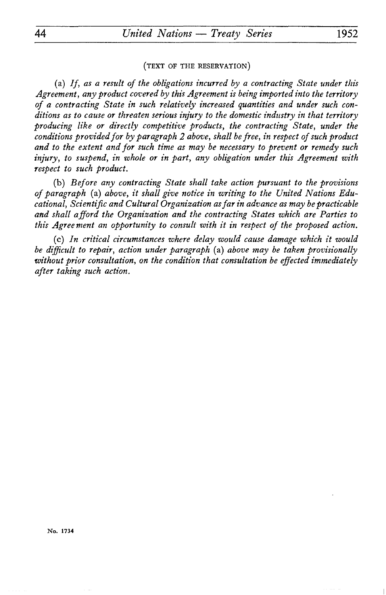(TEXT OF THE RESERVATION)

(a) //, *as a result of the obligations incurred by a contracting State under this Agreement, any product covered by this Agreement is being imported into the territory of a contracting State in such relatively increased quantities and under such con ditions as to cause or threaten serious injury to the domestic industry in that territory producing like or directly competitive products, the contracting State, under the conditions provided for by paragraph 2 above, shall be free, in respect of such product* and to the extent and for such time as may be necessary to prevent or remedy such *injury, to suspend, in whole or in part, any obligation under this Agreement with respect to such product.* 

(b) *Before any contracting State shall take action pursuant to the provisions of paragraph* (a) *above, it shall give notice in writing to the United Nations Edu cational, Scientific and Cultural Organization asfar in advance as may be practicable and shall afford the Organization and the contracting States which are Parties to this Agreement an opportunity to consult with it in respect of the proposed action.* 

(c) *In critical circumstances where delay would cause damage which it would be difficult to repair, action under paragraph* (a) *above may be taken provisionally without prior consultation, on the condition that consultation be effected immediately after taking such action.*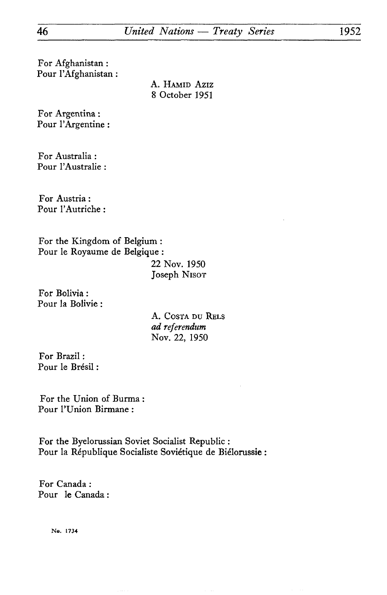For Afghanistan : Pour l'Afghanistan :

A. HAMID Aziz 8 October 1951

For Argentina : Pour l'Argentine :

For Australia : Pour l'Australie :

For Austria : Pour l'Autriche :

For the Kingdom of Belgium : Pour le Royaume de Belgique :

> 22 Nov. 1950 Joseph NISOT

For Bolivia : Pour la Bolivie :

> A. COSTA DU RELS *ad referendum*  Nov. 22, 1950

For Brazil : Pour le Brésil :

For thé Union of Burma : Pour l'Union Birmane :

For the Byelorussian Soviet Socialist Republic : Pour la République Socialiste Soviétique de Biélorussie :

For Canada : Pour le Canada :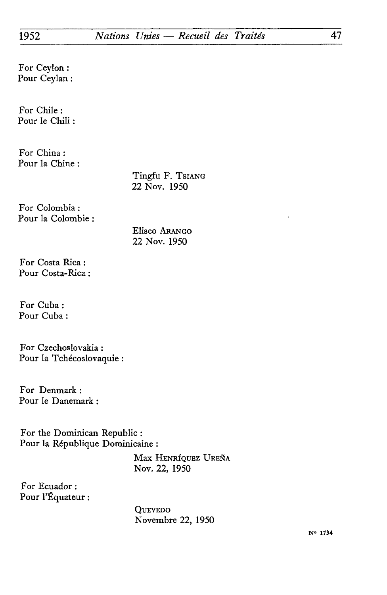For Ceylon : Pour Ceylan :

For Chile : Pour le Chili :

For China : Pour la Chine :

> Tingfu F. TSIANG 22 Nov. 1950

For Colombia : Pour la Colombie ;

> Eliseo ARANGO 22 Nov. 1950

For Costa Rica : Pour Costa-Rica :

For Cuba : Pour Cuba :

For Czechoslovakia : Pour la Tchécoslovaquie

For Denmark : Pour le Danemark :

For the Dominican Republic : Pour la République Dominicaine :

> Max HENRÍQUEZ UREÑA Nov. 22, 1950

For Ecuador : Pour l'Equateur :

> QUEVEDO Novembre 22, 1950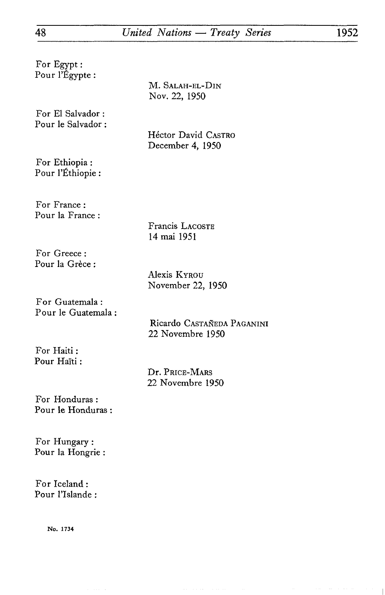| For Egypt:<br>Pour l'Égypte :          |                                                |
|----------------------------------------|------------------------------------------------|
|                                        | M. SALAH-EL-DIN<br>Nov. 22, 1950               |
| For El Salvador:<br>Pour le Salvador : |                                                |
|                                        | Héctor David CASTRO<br>December 4, 1950        |
| For Ethiopia:<br>Pour l'Éthiopie :     |                                                |
| For France:<br>Pour la France:         |                                                |
|                                        | Francis LACOSTE<br>14 mai 1951                 |
| For Greece:<br>Pour la Grèce :         |                                                |
|                                        | Alexis KYROU<br>November 22, 1950              |
| For Guatemala:<br>Pour le Guatemala :  |                                                |
|                                        | Ricardo CASTAÑEDA PAGANINI<br>22 Novembre 1950 |
| For Haiti:<br>Pour Haïti:              |                                                |
|                                        | Dr. PRICE-MARS<br>22 Novembre 1950             |
| For Honduras:<br>Pour le Honduras:     |                                                |
| For Hungary:<br>Pour la Hongrie:       |                                                |

For Iceland : Pour l'Islande :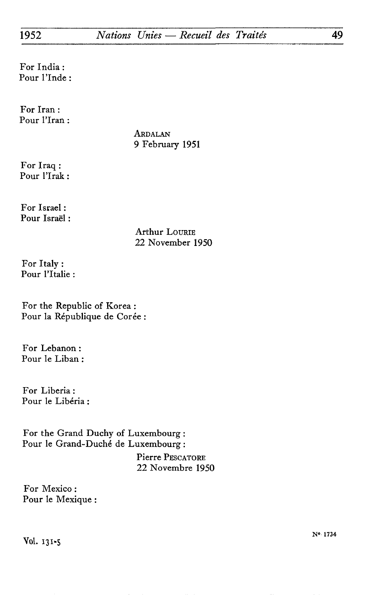For India : Pour l'Inde :

For Iran : Pour l'Iran :

> ARDALAN 9 February 1951

For Iraq : Pour l'Irak :

For Israel: Pour Israël :

> Arthur LOURIE 22 November 1950

For Italy : Pour l'Italie :

For the Republic of Korea : Pour la République de Corée

For Lebanon : Pour le Liban :

For Liberia: Pour le Libéria :

For thé Grand Duchy of Luxembourg : Pour le Grand-Duché de Luxembourg : Pierre PESCATORE 22 Novembre 1950

For Mexico : Pour le Mexique :

Vol. 131-5

**N° 1734**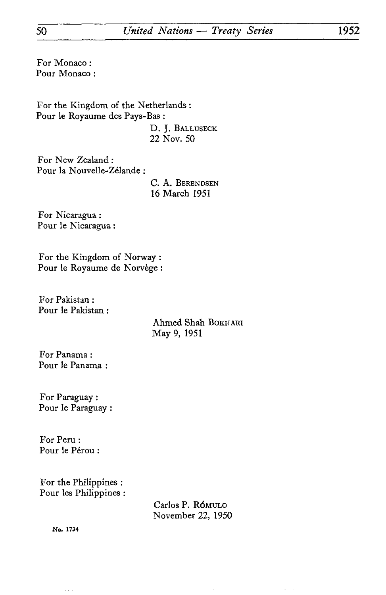For Monaco : Pour Monaco :

For the Kingdom of the Netherlands : Pour le Royaume des Pays-Bas :

D. J. BALLUSECK 22 Nov. 50'

For New Zealand : Pour la Nouvelle-Zélande :

> C. A. BERENDSEN 16 March 1951

For Nicaragua : Pour le Nicaragua :

For the Kingdom of Norway : Pour le Royaume de Norvège :

For Pakistan : Pour le Pakistan :

> Ahmed Shah BOKHARI May 9, 1951

For Panama : Pour le Panama

For Paraguay : Pour le Paraguay :

For Peru : Pour le Pérou :

For thé Philippines : Pour les Philippines ;

> Carlos P. RÔMULO November 22, 1950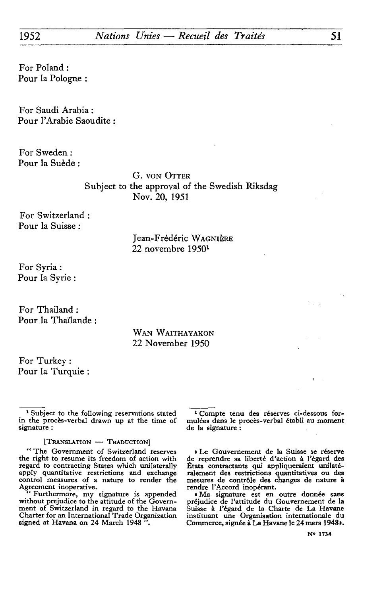For Poland : Pour la Pologne :

For Saudi Arabia : Pour l'Arabie Saoudite :

For Sweden : Pour la Suède :

> G. VON OTTER Subject to the approval of the Swedish Riksdag Nov. 20, 1951

For Switzerland : Pour la Suisse :

#### Jean-Frédéric WAGNIÈRE 22 novembre 19501

For Syria : Pour la Syrie :

For Thailand : Pour la Thaïlande :

### WAN WAITHAYAKON 22 November 1950

For Turkey : Pour la Turquie :

#### [TRANSLATION — TRADUCTION]

"The Government of Switzerland reserves<br>the right to resume its freedom of action with<br>regard to contracting States which unilaterally<br>apply quantitative restrictions and exchange<br>control measures of a nature to render the

<sup>1</sup> Subject to the following reservations stated in thé procès-verbal drawn up at the time of signature :

*<sup>1</sup>* Compte tenu des réserves ci-dessous formulées dans le procès-verbal établi au moment de la signature :

<sup>«</sup> Le Gouvernement de la Suisse se réserve de reprendre sa liberté d'action à l'égard des États contractants qui appliqueraient unilatéralement des restrictions quantitatives ou des mesures de contrôle des changes de nature à

rendre l'Accord inopérant. « Ma signature est en outre donnée sans préjudice de l'attitude du Gouvernement de la Suisse à l'égard de la Charte de La Havane instituant une Organisation internationale du Commerce, signée à La Havane le 24mars 1948».